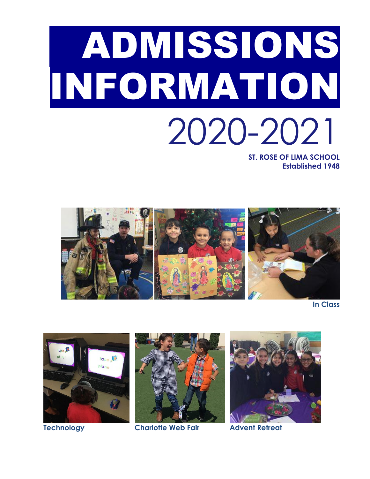# ADMISSIONS INFORMATION 2020-2021 **ST. ROSE OF LIMA SCHOOL**

**Established 1948**



**In Class**





**Technology Charlotte Web Fair Advent Retreat**

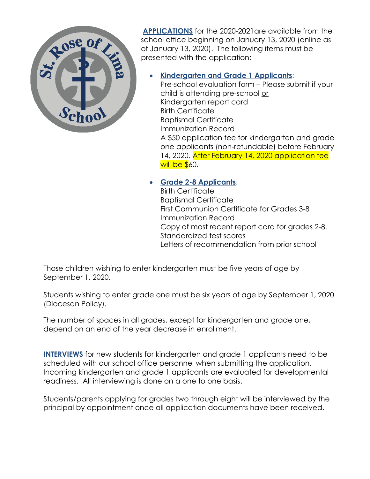

**APPLICATIONS** for the 2020-2021are available from the school office beginning on January 13, 2020 (online as of January 13, 2020). The following items must be presented with the application:

# **Kindergarten and Grade 1 Applicants**:

Pre-school evaluation form – Please submit if your child is attending pre-school or Kindergarten report card Birth Certificate Baptismal Certificate Immunization Record A \$50 application fee for kindergarten and grade one applicants (non-refundable) before February 14, 2020. After February 14, 2020 application fee will be  $$60.$ 

# **Grade 2-8 Applicants**:

Birth Certificate Baptismal Certificate First Communion Certificate for Grades 3-8 Immunization Record Copy of most recent report card for grades 2-8. Standardized test scores Letters of recommendation from prior school

Those children wishing to enter kindergarten must be five years of age by September 1, 2020.

Students wishing to enter grade one must be six years of age by September 1, 2020 (Diocesan Policy).

The number of spaces in all grades, except for kindergarten and grade one, depend on an end of the year decrease in enrollment.

**INTERVIEWS** for new students for kindergarten and grade 1 applicants need to be scheduled with our school office personnel when submitting the application. Incoming kindergarten and grade 1 applicants are evaluated for developmental readiness. All interviewing is done on a one to one basis.

Students/parents applying for grades two through eight will be interviewed by the principal by appointment once all application documents have been received.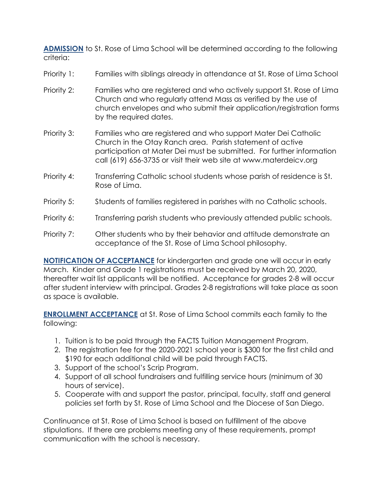**ADMISSION** to St. Rose of Lima School will be determined according to the following criteria:

- Priority 1: Families with siblings already in attendance at St. Rose of Lima School
- Priority 2: Families who are registered and who actively support St. Rose of Lima Church and who regularly attend Mass as verified by the use of church envelopes and who submit their application/registration forms by the required dates.
- Priority 3: Families who are registered and who support Mater Dei Catholic Church in the Otay Ranch area. Parish statement of active participation at Mater Dei must be submitted. For further information call (619) 656-3735 or visit their web site at www.materdeicv.org
- Priority 4: Transferring Catholic school students whose parish of residence is St. Rose of Lima.
- Priority 5: Students of families registered in parishes with no Catholic schools.
- Priority 6: Transferring parish students who previously attended public schools.
- Priority 7: Other students who by their behavior and attitude demonstrate an acceptance of the St. Rose of Lima School philosophy.

**NOTIFICATION OF ACCEPTANCE** for kindergarten and grade one will occur in early March. Kinder and Grade 1 registrations must be received by March 20, 2020, thereafter wait list applicants will be notified. Acceptance for grades 2-8 will occur after student interview with principal. Grades 2-8 registrations will take place as soon as space is available.

**ENROLLMENT ACCEPTANCE** at St. Rose of Lima School commits each family to the following:

- 1. Tuition is to be paid through the FACTS Tuition Management Program.
- 2. The registration fee for the 2020-2021 school year is \$300 for the first child and \$190 for each additional child will be paid through FACTS.
- 3. Support of the school's Scrip Program.
- 4. Support of all school fundraisers and fulfilling service hours (minimum of 30 hours of service).
- 5. Cooperate with and support the pastor, principal, faculty, staff and general policies set forth by St. Rose of Lima School and the Diocese of San Diego.

Continuance at St. Rose of Lima School is based on fulfillment of the above stipulations. If there are problems meeting any of these requirements, prompt communication with the school is necessary.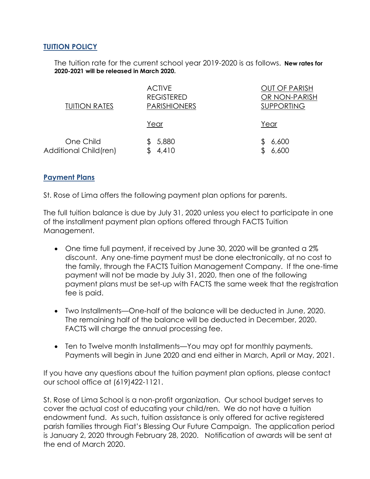## **TUITION POLICY**

The tuition rate for the current school year 2019-2020 is as follows. **New rates for 2020-2021 will be released in March 2020.**

| <b>TUITION RATES</b>               | <b>ACTIVE</b><br><b>REGISTERED</b><br><b>PARISHIONERS</b> | <b>OUT OF PARISH</b><br>OR NON-PARISH<br><b>SUPPORTING</b> |
|------------------------------------|-----------------------------------------------------------|------------------------------------------------------------|
|                                    | Year                                                      | Year                                                       |
| One Child<br>Additional Child(ren) | 5,880<br>4,410                                            | 6,600<br>6,600                                             |

## **Payment Plans**

St. Rose of Lima offers the following payment plan options for parents.

The full tuition balance is due by July 31, 2020 unless you elect to participate in one of the installment payment plan options offered through FACTS Tuition Management.

- One time full payment, if received by June 30, 2020 will be granted a 2% discount. Any one-time payment must be done electronically, at no cost to the family, through the FACTS Tuition Management Company. If the one-time payment will not be made by July 31, 2020, then one of the following payment plans must be set-up with FACTS the same week that the registration fee is paid.
- Two Installments—One-half of the balance will be deducted in June, 2020. The remaining half of the balance will be deducted in December, 2020. FACTS will charge the annual processing fee.
- Ten to Twelve month Installments—You may opt for monthly payments. Payments will begin in June 2020 and end either in March, April or May, 2021.

If you have any questions about the tuition payment plan options, please contact our school office at (619)422-1121.

St. Rose of Lima School is a non-profit organization. Our school budget serves to cover the actual cost of educating your child/ren. We do not have a tuition endowment fund. As such, tuition assistance is only offered for active registered parish families through Fiat's Blessing Our Future Campaign. The application period is January 2, 2020 through February 28, 2020. Notification of awards will be sent at the end of March 2020.